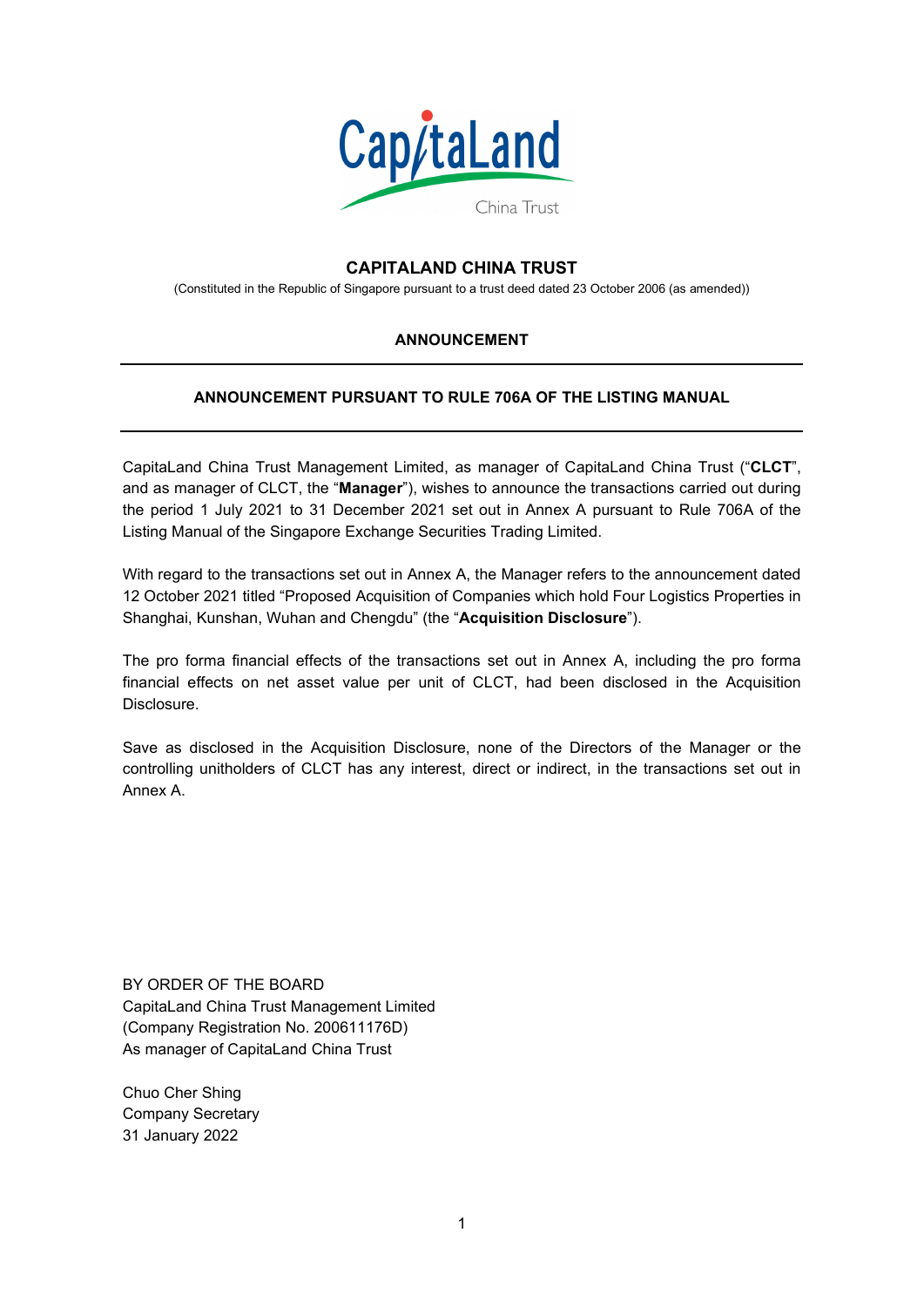

# **CAPITALAND CHINA TRUST**

(Constituted in the Republic of Singapore pursuant to a trust deed dated 23 October 2006 (as amended))

#### **ANNOUNCEMENT**

### **ANNOUNCEMENT PURSUANT TO RULE 706A OF THE LISTING MANUAL**

CapitaLand China Trust Management Limited, as manager of CapitaLand China Trust ("**CLCT**", and as manager of CLCT, the "**Manager**"), wishes to announce the transactions carried out during the period 1 July 2021 to 31 December 2021 set out in Annex A pursuant to Rule 706A of the Listing Manual of the Singapore Exchange Securities Trading Limited.

With regard to the transactions set out in Annex A, the Manager refers to the announcement dated 12 October 2021 titled "Proposed Acquisition of Companies which hold Four Logistics Properties in Shanghai, Kunshan, Wuhan and Chengdu" (the "**Acquisition Disclosure**").

The pro forma financial effects of the transactions set out in Annex A, including the pro forma financial effects on net asset value per unit of CLCT, had been disclosed in the Acquisition Disclosure.

Save as disclosed in the Acquisition Disclosure, none of the Directors of the Manager or the controlling unitholders of CLCT has any interest, direct or indirect, in the transactions set out in Annex A.

BY ORDER OF THE BOARD CapitaLand China Trust Management Limited (Company Registration No. 200611176D) As manager of CapitaLand China Trust

Chuo Cher Shing Company Secretary 31 January 2022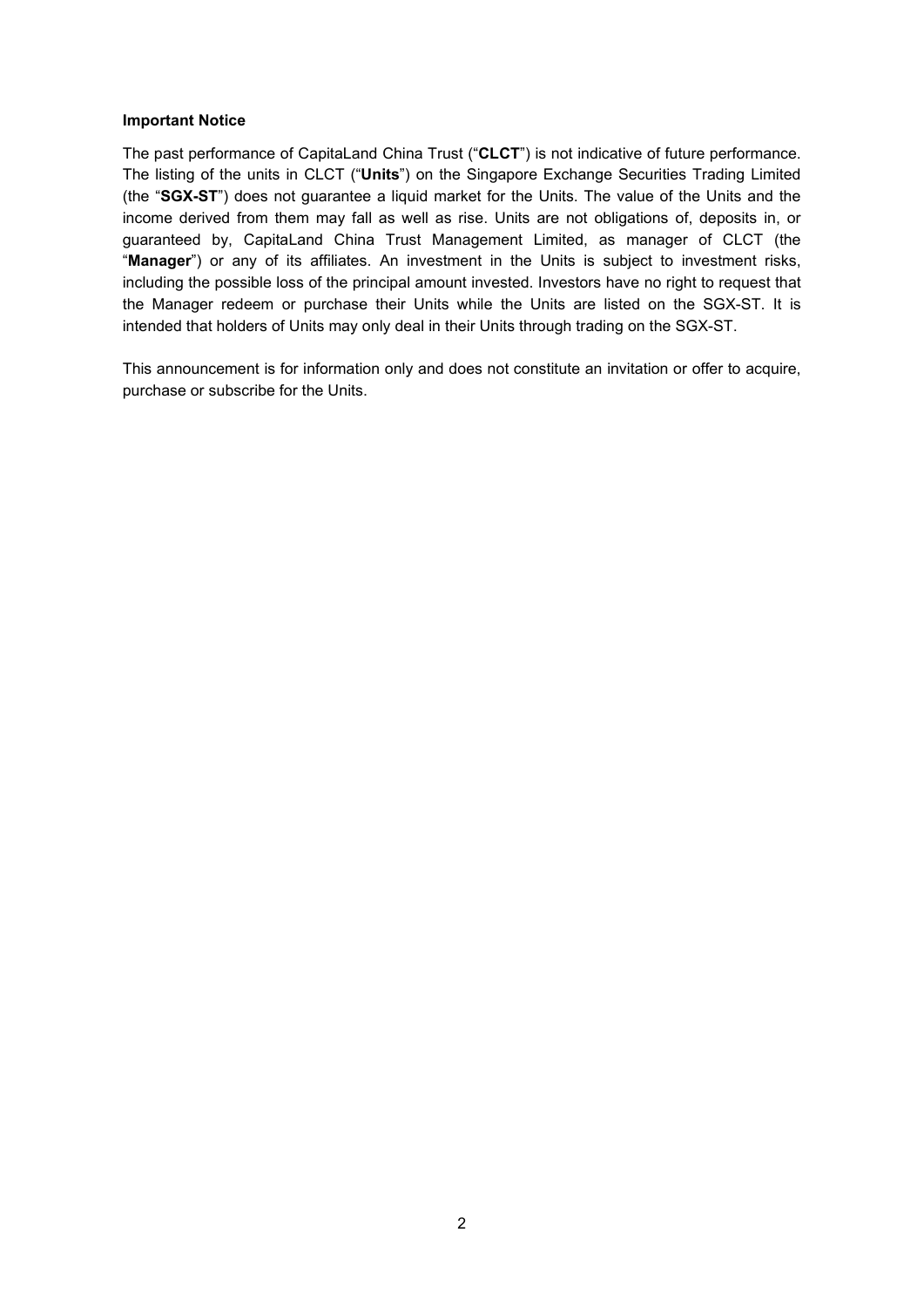#### **Important Notice**

The past performance of CapitaLand China Trust ("**CLCT**") is not indicative of future performance. The listing of the units in CLCT ("**Units**") on the Singapore Exchange Securities Trading Limited (the "**SGX-ST**") does not guarantee a liquid market for the Units. The value of the Units and the income derived from them may fall as well as rise. Units are not obligations of, deposits in, or guaranteed by, CapitaLand China Trust Management Limited, as manager of CLCT (the "**Manager**") or any of its affiliates. An investment in the Units is subject to investment risks, including the possible loss of the principal amount invested. Investors have no right to request that the Manager redeem or purchase their Units while the Units are listed on the SGX-ST. It is intended that holders of Units may only deal in their Units through trading on the SGX-ST.

This announcement is for information only and does not constitute an invitation or offer to acquire, purchase or subscribe for the Units.